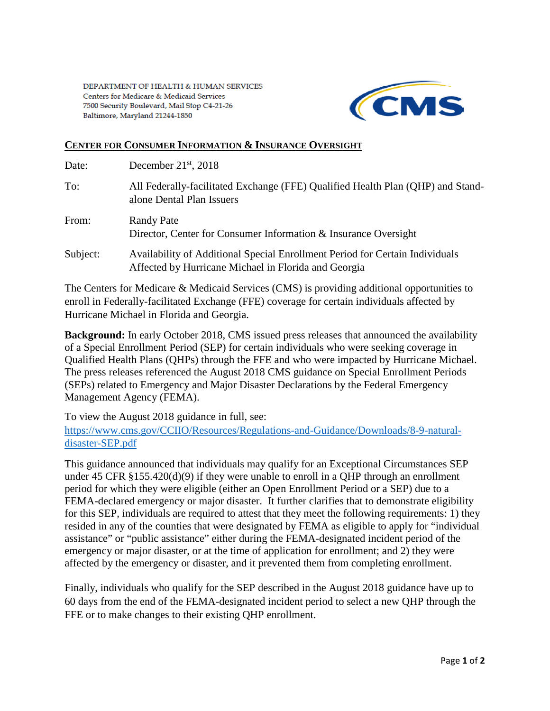

## **CENTER FOR CONSUMER INFORMATION & INSURANCE OVERSIGHT**

| Date:    | December $21st$ , 2018                                                                                                               |
|----------|--------------------------------------------------------------------------------------------------------------------------------------|
| To:      | All Federally-facilitated Exchange (FFE) Qualified Health Plan (QHP) and Stand-<br>alone Dental Plan Issuers                         |
| From:    | <b>Randy Pate</b><br>Director, Center for Consumer Information & Insurance Oversight                                                 |
| Subject: | Availability of Additional Special Enrollment Period for Certain Individuals<br>Affected by Hurricane Michael in Florida and Georgia |

The Centers for Medicare & Medicaid Services (CMS) is providing additional opportunities to enroll in Federally-facilitated Exchange (FFE) coverage for certain individuals affected by Hurricane Michael in Florida and Georgia.

**Background:** In early October 2018, CMS issued press releases that announced the availability of a Special Enrollment Period (SEP) for certain individuals who were seeking coverage in Qualified Health Plans (QHPs) through the FFE and who were impacted by Hurricane Michael. The press releases referenced the August 2018 CMS guidance on Special Enrollment Periods (SEPs) related to Emergency and Major Disaster Declarations by the Federal Emergency Management Agency (FEMA).

To view the August 2018 guidance in full, see:

[https://www.cms.gov/CCIIO/Resources/Regulations-and-Guidance/Downloads/8-9-natural](https://www.cms.gov/CCIIO/Resources/Regulations-and-Guidance/Downloads/8-9-natural-disaster-SEP.pdf)[disaster-SEP.pdf](https://www.cms.gov/CCIIO/Resources/Regulations-and-Guidance/Downloads/8-9-natural-disaster-SEP.pdf)

This guidance announced that individuals may qualify for an Exceptional Circumstances SEP under 45 CFR §155.420(d)(9) if they were unable to enroll in a QHP through an enrollment period for which they were eligible (either an Open Enrollment Period or a SEP) due to a FEMA-declared emergency or major disaster. It further clarifies that to demonstrate eligibility for this SEP, individuals are required to attest that they meet the following requirements: 1) they resided in any of the counties that were designated by FEMA as eligible to apply for "individual assistance" or "public assistance" either during the FEMA-designated incident period of the emergency or major disaster, or at the time of application for enrollment; and 2) they were affected by the emergency or disaster, and it prevented them from completing enrollment.

Finally, individuals who qualify for the SEP described in the August 2018 guidance have up to 60 days from the end of the FEMA-designated incident period to select a new QHP through the FFE or to make changes to their existing QHP enrollment.